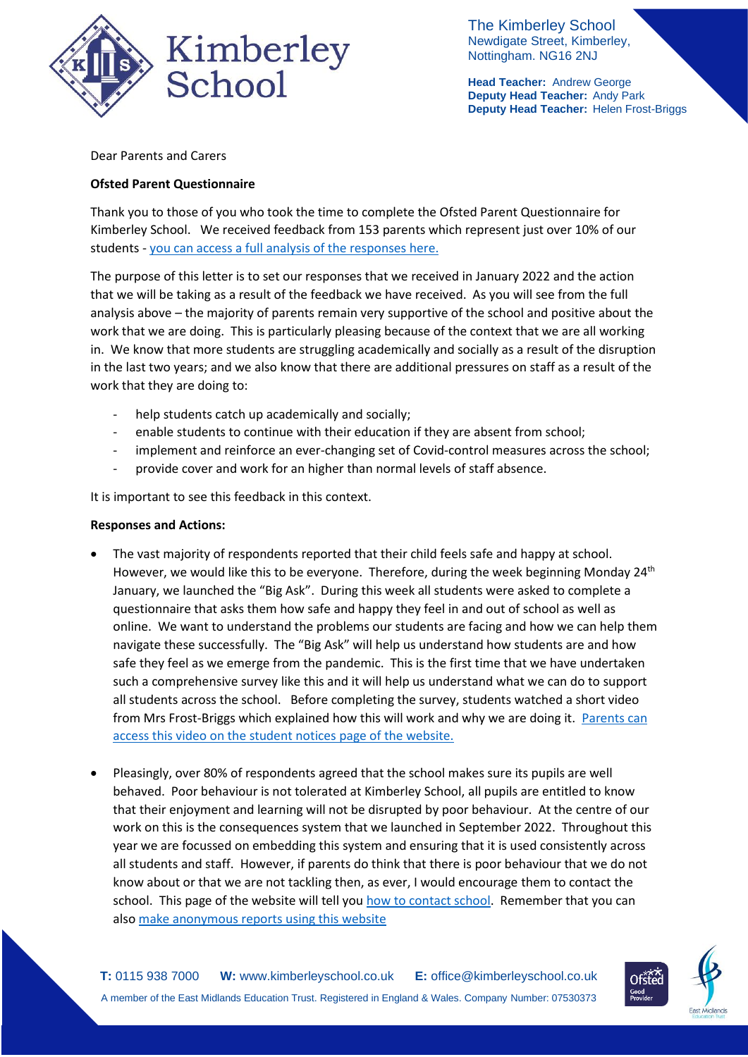

The Kimberley School Newdigate Street, Kimberley, Nottingham. NG16 2NJ

**Head Teacher:** Andrew George **Deputy Head Teacher:** Andy Park **Deputy Head Teacher:** Helen Frost-Briggs

Dear Parents and Carers

## **Ofsted Parent Questionnaire**

Thank you to those of you who took the time to complete the Ofsted Parent Questionnaire for Kimberley School. We received feedback from 153 parents which represent just over 10% of our students - [you can access a full analysis of the responses here.](https://676e78de-15d9-46b7-9fcd-a49f46e58722.filesusr.com/ugd/b2657a_1e240dc20d8649b6a0d5789734f7a1fd.pdf)

The purpose of this letter is to set our responses that we received in January 2022 and the action that we will be taking as a result of the feedback we have received. As you will see from the full analysis above – the majority of parents remain very supportive of the school and positive about the work that we are doing. This is particularly pleasing because of the context that we are all working in. We know that more students are struggling academically and socially as a result of the disruption in the last two years; and we also know that there are additional pressures on staff as a result of the work that they are doing to:

- help students catch up academically and socially;
- enable students to continue with their education if they are absent from school;
- implement and reinforce an ever-changing set of Covid-control measures across the school:
- provide cover and work for an higher than normal levels of staff absence.

It is important to see this feedback in this context.

## **Responses and Actions:**

- The vast majority of respondents reported that their child feels safe and happy at school. However, we would like this to be everyone. Therefore, during the week beginning Monday  $24<sup>th</sup>$ January, we launched the "Big Ask". During this week all students were asked to complete a questionnaire that asks them how safe and happy they feel in and out of school as well as online. We want to understand the problems our students are facing and how we can help them navigate these successfully. The "Big Ask" will help us understand how students are and how safe they feel as we emerge from the pandemic. This is the first time that we have undertaken such a comprehensive survey like this and it will help us understand what we can do to support all students across the school. Before completing the survey, students watched a short video from Mrs Frost-Briggs which explained how this will work and why we are doing it. [Parents can](https://www.kimberleyschool.co.uk/notices)  [access this video on the student notices page of the website.](https://www.kimberleyschool.co.uk/notices)
- Pleasingly, over 80% of respondents agreed that the school makes sure its pupils are well behaved. Poor behaviour is not tolerated at Kimberley School, all pupils are entitled to know that their enjoyment and learning will not be disrupted by poor behaviour. At the centre of our work on this is the consequences system that we launched in September 2022. Throughout this year we are focussed on embedding this system and ensuring that it is used consistently across all students and staff. However, if parents do think that there is poor behaviour that we do not know about or that we are not tackling then, as ever, I would encourage them to contact the school. This page of the website will tell yo[u how to contact school.](https://www.kimberleyschool.co.uk/contact) Remember that you can also [make anonymous reports using this website](https://kimberley.thesharpsystem.com/)

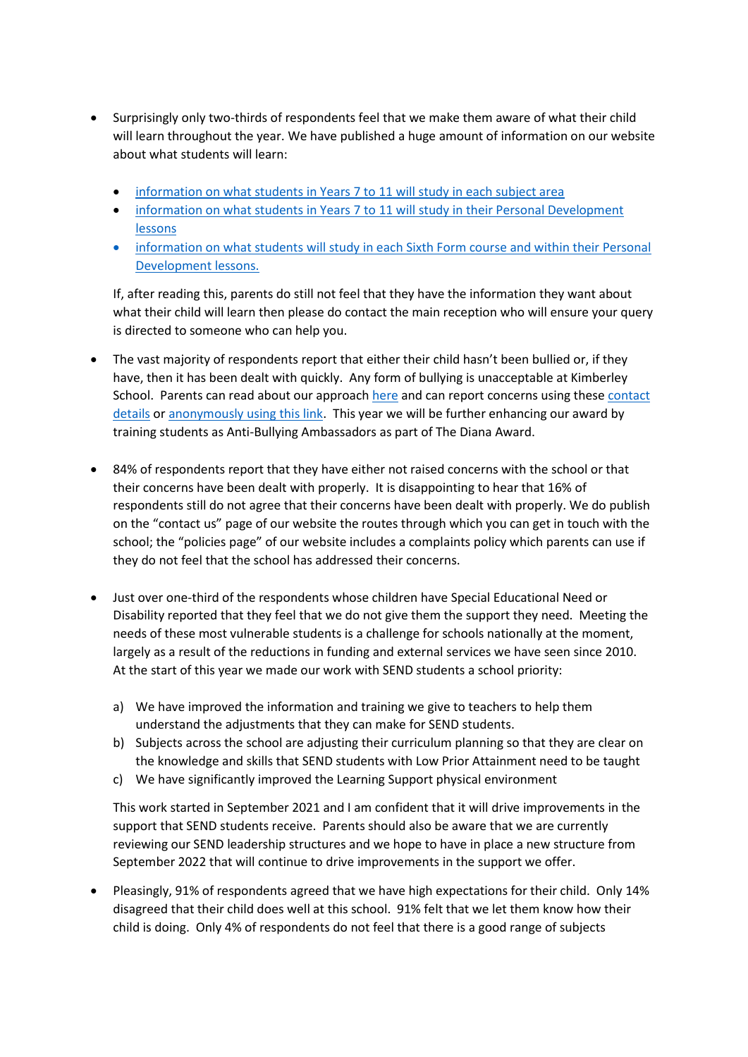- Surprisingly only two-thirds of respondents feel that we make them aware of what their child will learn throughout the year. We have published a huge amount of information on our website about what students will learn:
	- [information on what students in Years 7 to 11 will study in each subject area](https://www.kimberleyschool.co.uk/curriculum-overview)
	- [information on what students in Years 7 to 11 will study in their Personal Development](https://www.kimberleyschool.co.uk/personaldevelopment)  [lessons](https://www.kimberleyschool.co.uk/personaldevelopment)
	- [information on what students will study in each Sixth Form course and within their Personal](https://www.kimberleyschool.co.uk/sixth-form-courses)  [Development lessons.](https://www.kimberleyschool.co.uk/sixth-form-courses)

If, after reading this, parents do still not feel that they have the information they want about what their child will learn then please do contact the main reception who will ensure your query is directed to someone who can help you.

- The vast majority of respondents report that either their child hasn't been bullied or, if they have, then it has been dealt with quickly. Any form of bullying is unacceptable at Kimberley School. Parents can read about our approach [here](https://www.kimberleyschool.co.uk/anti-bullying) and can report concerns using thes[e contact](https://www.kimberleyschool.co.uk/contact)  [details](https://www.kimberleyschool.co.uk/contact) or [anonymously using this link.](https://kimberley.thesharpsystem.com/) This year we will be further enhancing our award by training students as Anti-Bullying Ambassadors as part of The Diana Award.
- 84% of respondents report that they have either not raised concerns with the school or that their concerns have been dealt with properly. It is disappointing to hear that 16% of respondents still do not agree that their concerns have been dealt with properly. We do publish on the "contact us" page of our website the routes through which you can get in touch with the school; the "policies page" of our website includes a complaints policy which parents can use if they do not feel that the school has addressed their concerns.
- Just over one-third of the respondents whose children have Special Educational Need or Disability reported that they feel that we do not give them the support they need. Meeting the needs of these most vulnerable students is a challenge for schools nationally at the moment, largely as a result of the reductions in funding and external services we have seen since 2010. At the start of this year we made our work with SEND students a school priority:
	- a) We have improved the information and training we give to teachers to help them understand the adjustments that they can make for SEND students.
	- b) Subjects across the school are adjusting their curriculum planning so that they are clear on the knowledge and skills that SEND students with Low Prior Attainment need to be taught
	- c) We have significantly improved the Learning Support physical environment

This work started in September 2021 and I am confident that it will drive improvements in the support that SEND students receive. Parents should also be aware that we are currently reviewing our SEND leadership structures and we hope to have in place a new structure from September 2022 that will continue to drive improvements in the support we offer.

• Pleasingly, 91% of respondents agreed that we have high expectations for their child. Only 14% disagreed that their child does well at this school. 91% felt that we let them know how their child is doing. Only 4% of respondents do not feel that there is a good range of subjects